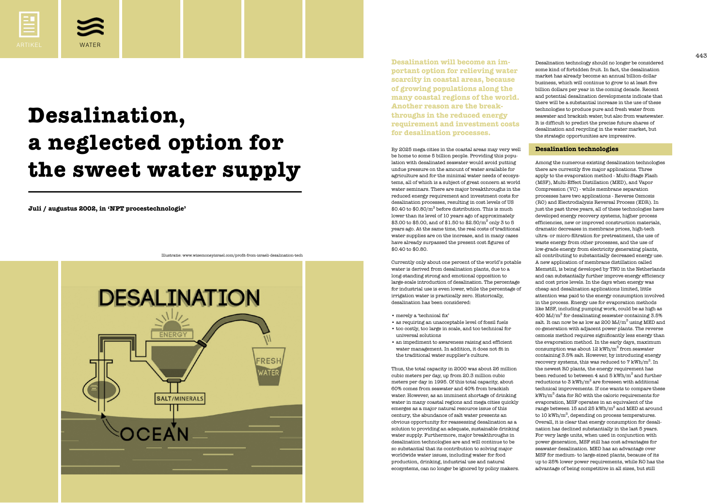

**Juli / augustus 2002, in 'NPT procestechnologie'**



# **Desalination, a neglected option for the sweet water supply**

Desalination technology should no longer be considered some kind of forbidden fruit. In fact, the desalination market has already become an annual billion-dollar business, which will continue to grow to at least five billion dollars per year in the coming decade. Recent and potential desalination developments indicate that there will be a substantial increase in the use of these technologies to produce pure and fresh water from seawater and brackish water, but also from wastewater. It is difficult to predict the precise future shares of desalination and recycling in the water market, but the strategic opportunities are impressive.

# **Desalination technologies**

 $443$ **Desalination will become an important option for relieving water scarcity in coastal areas, because of growing populations along the many coastal regions of the world. Another reason are the breakthroughs in the reduced energy requirement and investment costs for desalination processes.**

> Among the numerous existing desalination technologies there are currently five major applications. Three apply to the evaporation method - Multi-Stage Flash (MSF), Multi-Effect Distillation (MED), and Vapor Compression (VC) - while membrane separation processes have two applications - Reverse Osmosis (RO) and Electrodialysis Reversal Process (EDR). In just the past three years, all of these technologies have developed energy recovery systems, higher process efficiencies, new or improved construction materials, dramatic decreases in membrane prices, high-tech ultra- or micro-filtration for pretreatment, the use of waste energy from other processes, and the use of low-grade energy from electricity generating plants, all contributing to substantially decreased energy use. A new application of membrane distillation called Memstill, is being developed by TNO in the Netherlands and can substantially further improve energy efficiency and cost price levels. In the days when energy was cheap and desalination applications limited, little attention was paid to the energy consumption involved in the process. Energy use for evaporation methods like MSF, including pumping work, could be as high as 400 MJ/ $m^3$  for desalinating seawater containing 3.5% salt. It can now be as low as 200  $MJ/m<sup>3</sup>$  using MED and co-generation with adjacent power plants. The reverse osmosis method requires significantly less energy than the evaporation method. In the early days, maximum consumption was about  $12 \text{ kWh/m}^3$  from seawater containing 3.5% salt. However, by introducing energy recovery systems, this was reduced to  $7 \text{ kWh/m}^3$ . In the newest RO plants, the energy requirement has been reduced to between 4 and 5  $\mathrm{kWh/m}^3$  and further reductions to  $3 \text{ kWh/m}^3$  are foreseen with additional technical improvements. If one wants to compare these  $kWh/m<sup>3</sup>$  data for RO with the caloric requirements for evaporation, MSF operates in an equivalent of the range between 15 and 25 kWh/ $m^3$  and MED at around to 10 kWh/ $m^3$ , depending on process temperatures. Overall, it is clear that energy consumption for desalination has declined substantially in the last 5 years. For very large units, when used in conjunction with power generation, MSF still has cost advantages for seawater desalination. MED has an advantage over MSF for medium- to large-sized plants, because of its up to 25% lower power requirements, while RO has the advantage of being competitive in all sizes, but still

By 2025 mega cities in the coastal areas may very well be home to some 5 billion people. Providing this population with desalinated seawater would avoid putting undue pressure on the amount of water available for agriculture and for the minimal water needs of ecosystems, all of which is a subject of great concern at world water seminars. There are major breakthroughs in the reduced energy requirement and investment costs for desalination processes, resulting in cost levels of US  $$0.40$  to  $$0.80/m^3$  before distribution. This is much lower than its level of 10 years ago of approximately \$3.00 to \$5.00, and of \$1.50 to \$2.50/ $\rm m^3$  only 3 to 5 years ago. At the same time, the real costs of traditional water supplies are on the increase, and in many cases have already surpassed the present cost figures of \$0.40 to \$0.80.

Currently only about one percent of the world's potable water is derived from desalination plants, due to a long-standing strong and emotional opposition to large-scale introduction of desalination. The percentage for industrial use is even lower, while the percentage of irrigation water is practically zero. Historically, desalination has been considered:

• as requiring an unacceptable level of fossil fuels • too costly, too large in scale, and too technical for

- merely a 'technical fix'
- 
- universal solutions
- the traditional water supplier's culture.

• an impediment to awareness raising and efficient water management. In addition, it does not fit in

Thus, the total capacity in 2000 was about 26 million cubic meters per day, up from 20.3 million cubic meters per day in 1995. Of this total capacity, about 60% comes from seawater and 40% from brackish water. However, as an imminent shortage of drinking water in many coastal regions and mega cities quickly emerges as a major natural resource issue of this century, the abundance of salt water presents an obvious opportunity for reassessing desalination as a solution to providing an adequate, sustainable drinking water supply. Furthermore, major breakthroughs in desalination technologies are and will continue to be so substantial that its contribution to solving major worldwide water issues, including water for food production, drinking, industrial use and natural ecosystems, can no longer be ignored by policy makers.

Illustratie: www.wisemoneyisrael.com/profit-from-israeli-desalination-tech